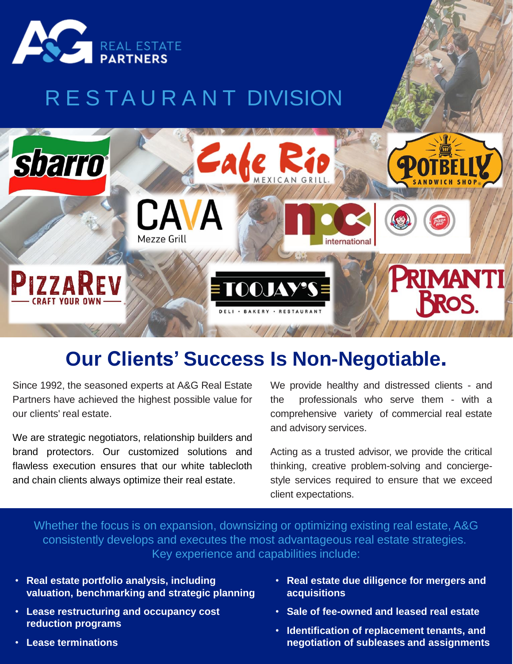

## R E S TA U R A N T DIVISION



## **Our Clients' Success Is Non-Negotiable.**

Since 1992, the seasoned experts at A&G Real Estate Partners have achieved the highest possible value for our clients' real estate.

We are strategic negotiators, relationship builders and brand protectors. Our customized solutions and flawless execution ensures that our white tablecloth and chain clients always optimize their real estate.

We provide healthy and distressed clients - and the professionals who serve them - with a comprehensive variety of commercial real estate and advisory services.

Acting as a trusted advisor, we provide the critical thinking, creative problem-solving and conciergestyle services required to ensure that we exceed client expectations.

Whether the focus is on expansion, downsizing or optimizing existing real estate, A&G consistently develops and executes the most advantageous real estate strategies. Key experience and capabilities include:

- **Real estate portfolio analysis, including valuation, benchmarking and strategic planning**
- **Lease restructuring and occupancy cost reduction programs**
- **Lease terminations**
- **Real estate due diligence for mergers and acquisitions**
- **Sale of fee-owned and leased real estate**
- **Identification of replacement tenants, and negotiation of subleases and assignments**